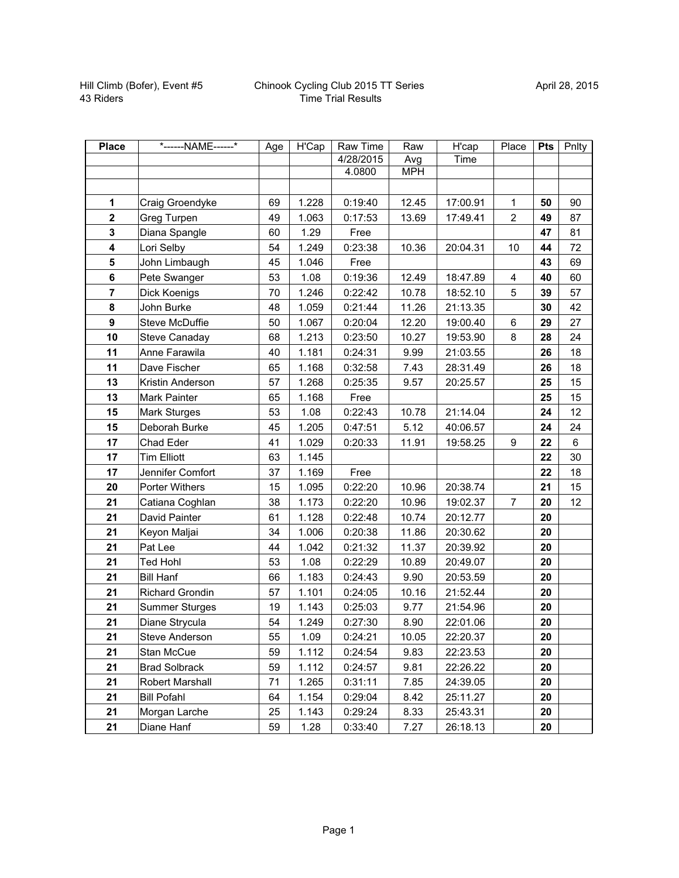| <b>Place</b>            | *------NAME------*    | Age | H'Cap | Raw Time  | Raw        | H'cap    | Place          | Pts | Pnlty |
|-------------------------|-----------------------|-----|-------|-----------|------------|----------|----------------|-----|-------|
|                         |                       |     |       | 4/28/2015 | Avg        | Time     |                |     |       |
|                         |                       |     |       | 4.0800    | <b>MPH</b> |          |                |     |       |
|                         |                       |     |       |           |            |          |                |     |       |
| 1                       | Craig Groendyke       | 69  | 1.228 | 0:19:40   | 12.45      | 17:00.91 | 1              | 50  | 90    |
| $\mathbf{2}$            | Greg Turpen           | 49  | 1.063 | 0:17:53   | 13.69      | 17:49.41 | $\overline{2}$ | 49  | 87    |
| $\overline{\mathbf{3}}$ | Diana Spangle         | 60  | 1.29  | Free      |            |          |                | 47  | 81    |
| $\overline{\mathbf{4}}$ | Lori Selby            | 54  | 1.249 | 0:23:38   | 10.36      | 20:04.31 | 10             | 44  | 72    |
| $\overline{\mathbf{5}}$ | John Limbaugh         | 45  | 1.046 | Free      |            |          |                | 43  | 69    |
| 6                       | Pete Swanger          | 53  | 1.08  | 0:19:36   | 12.49      | 18:47.89 | $\overline{4}$ | 40  | 60    |
| $\overline{7}$          | Dick Koenigs          | 70  | 1.246 | 0:22:42   | 10.78      | 18:52.10 | 5              | 39  | 57    |
| 8                       | John Burke            | 48  | 1.059 | 0:21:44   | 11.26      | 21:13.35 |                | 30  | 42    |
| $\boldsymbol{9}$        | Steve McDuffie        | 50  | 1.067 | 0:20:04   | 12.20      | 19:00.40 | 6              | 29  | 27    |
| 10                      | Steve Canaday         | 68  | 1.213 | 0:23:50   | 10.27      | 19:53.90 | 8              | 28  | 24    |
| 11                      | Anne Farawila         | 40  | 1.181 | 0:24:31   | 9.99       | 21:03.55 |                | 26  | 18    |
| 11                      | Dave Fischer          | 65  | 1.168 | 0:32:58   | 7.43       | 28:31.49 |                | 26  | 18    |
| 13                      | Kristin Anderson      | 57  | 1.268 | 0:25:35   | 9.57       | 20:25.57 |                | 25  | 15    |
| 13                      | Mark Painter          | 65  | 1.168 | Free      |            |          |                | 25  | 15    |
| 15                      | <b>Mark Sturges</b>   | 53  | 1.08  | 0:22:43   | 10.78      | 21:14.04 |                | 24  | 12    |
| 15                      | Deborah Burke         | 45  | 1.205 | 0:47:51   | 5.12       | 40:06.57 |                | 24  | 24    |
| 17                      | Chad Eder             | 41  | 1.029 | 0:20:33   | 11.91      | 19:58.25 | 9              | 22  | 6     |
| 17                      | <b>Tim Elliott</b>    | 63  | 1.145 |           |            |          |                | 22  | 30    |
| 17                      | Jennifer Comfort      | 37  | 1.169 | Free      |            |          |                | 22  | 18    |
| 20                      | Porter Withers        | 15  | 1.095 | 0:22:20   | 10.96      | 20:38.74 |                | 21  | 15    |
| 21                      | Catiana Coghlan       | 38  | 1.173 | 0:22:20   | 10.96      | 19:02.37 | $\overline{7}$ | 20  | 12    |
| 21                      | David Painter         | 61  | 1.128 | 0:22:48   | 10.74      | 20:12.77 |                | 20  |       |
| 21                      | Keyon Maljai          | 34  | 1.006 | 0:20:38   | 11.86      | 20:30.62 |                | 20  |       |
| 21                      | Pat Lee               | 44  | 1.042 | 0:21:32   | 11.37      | 20:39.92 |                | 20  |       |
| 21                      | <b>Ted Hohl</b>       | 53  | 1.08  | 0:22:29   | 10.89      | 20:49.07 |                | 20  |       |
| 21                      | <b>Bill Hanf</b>      | 66  | 1.183 | 0:24:43   | 9.90       | 20:53.59 |                | 20  |       |
| 21                      | Richard Grondin       | 57  | 1.101 | 0:24:05   | 10.16      | 21:52.44 |                | 20  |       |
| 21                      | <b>Summer Sturges</b> | 19  | 1.143 | 0:25:03   | 9.77       | 21:54.96 |                | 20  |       |
| 21                      | Diane Strycula        | 54  | 1.249 | 0:27:30   | 8.90       | 22:01.06 |                | 20  |       |
| 21                      | Steve Anderson        | 55  | 1.09  | 0:24:21   | 10.05      | 22:20.37 |                | 20  |       |
| 21                      | Stan McCue            | 59  | 1.112 | 0:24:54   | 9.83       | 22:23.53 |                | 20  |       |
| 21                      | <b>Brad Solbrack</b>  | 59  | 1.112 | 0:24:57   | 9.81       | 22:26.22 |                | 20  |       |
| 21                      | Robert Marshall       | 71  | 1.265 | 0:31:11   | 7.85       | 24:39.05 |                | 20  |       |
| 21                      | <b>Bill Pofahl</b>    | 64  | 1.154 | 0:29:04   | 8.42       | 25:11.27 |                | 20  |       |
| 21                      | Morgan Larche         | 25  | 1.143 | 0:29:24   | 8.33       | 25:43.31 |                | 20  |       |
| 21                      | Diane Hanf            | 59  | 1.28  | 0:33:40   | 7.27       | 26:18.13 |                | 20  |       |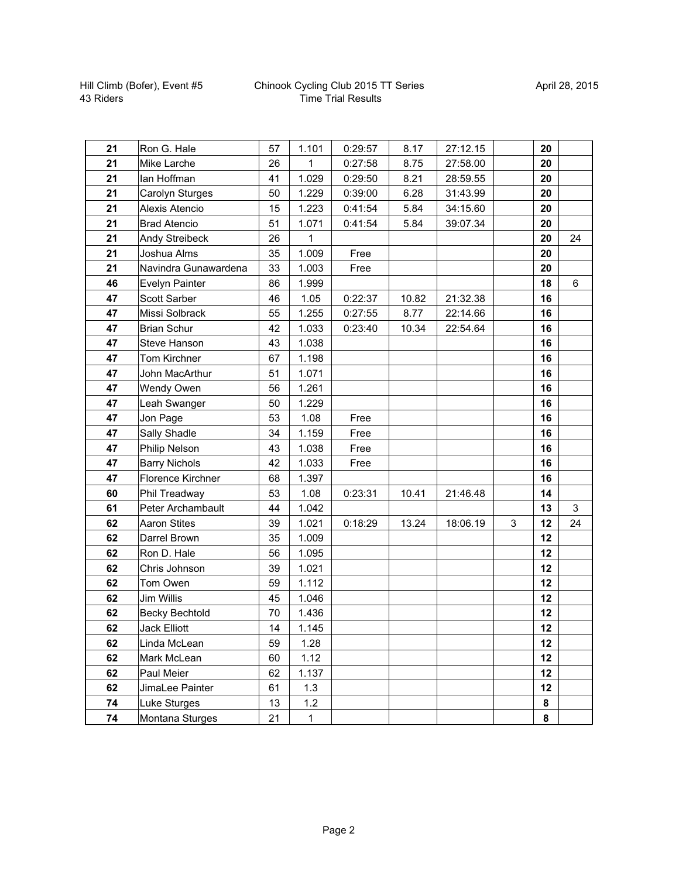| 21 | Ron G. Hale           | 57 | 1.101        | 0:29:57 | 8.17  | 27:12.15 |   | 20 |    |
|----|-----------------------|----|--------------|---------|-------|----------|---|----|----|
| 21 | Mike Larche           | 26 | 1            | 0:27:58 | 8.75  | 27:58.00 |   | 20 |    |
| 21 | lan Hoffman           | 41 | 1.029        | 0:29:50 | 8.21  | 28:59.55 |   | 20 |    |
| 21 | Carolyn Sturges       | 50 | 1.229        | 0:39:00 | 6.28  | 31:43.99 |   | 20 |    |
| 21 | Alexis Atencio        | 15 | 1.223        | 0:41:54 | 5.84  | 34:15.60 |   | 20 |    |
| 21 | <b>Brad Atencio</b>   | 51 | 1.071        | 0:41:54 | 5.84  | 39:07.34 |   | 20 |    |
| 21 | Andy Streibeck        | 26 | 1            |         |       |          |   | 20 | 24 |
| 21 | Joshua Alms           | 35 | 1.009        | Free    |       |          |   | 20 |    |
| 21 | Navindra Gunawardena  | 33 | 1.003        | Free    |       |          |   | 20 |    |
| 46 | Evelyn Painter        | 86 | 1.999        |         |       |          |   | 18 | 6  |
| 47 | Scott Sarber          | 46 | 1.05         | 0:22:37 | 10.82 | 21:32.38 |   | 16 |    |
| 47 | Missi Solbrack        | 55 | 1.255        | 0:27:55 | 8.77  | 22:14.66 |   | 16 |    |
| 47 | <b>Brian Schur</b>    | 42 | 1.033        | 0:23:40 | 10.34 | 22:54.64 |   | 16 |    |
| 47 | Steve Hanson          | 43 | 1.038        |         |       |          |   | 16 |    |
| 47 | Tom Kirchner          | 67 | 1.198        |         |       |          |   | 16 |    |
| 47 | John MacArthur        | 51 | 1.071        |         |       |          |   | 16 |    |
| 47 | Wendy Owen            | 56 | 1.261        |         |       |          |   | 16 |    |
| 47 | Leah Swanger          | 50 | 1.229        |         |       |          |   | 16 |    |
| 47 | Jon Page              | 53 | 1.08         | Free    |       |          |   | 16 |    |
| 47 | Sally Shadle          | 34 | 1.159        | Free    |       |          |   | 16 |    |
| 47 | Philip Nelson         | 43 | 1.038        | Free    |       |          |   | 16 |    |
| 47 | <b>Barry Nichols</b>  | 42 | 1.033        | Free    |       |          |   | 16 |    |
| 47 | Florence Kirchner     | 68 | 1.397        |         |       |          |   | 16 |    |
| 60 | Phil Treadway         | 53 | 1.08         | 0:23:31 | 10.41 | 21:46.48 |   | 14 |    |
| 61 | Peter Archambault     | 44 | 1.042        |         |       |          |   | 13 | 3  |
| 62 | <b>Aaron Stites</b>   | 39 | 1.021        | 0:18:29 | 13.24 | 18:06.19 | 3 | 12 | 24 |
| 62 | Darrel Brown          | 35 | 1.009        |         |       |          |   | 12 |    |
| 62 | Ron D. Hale           | 56 | 1.095        |         |       |          |   | 12 |    |
| 62 | Chris Johnson         | 39 | 1.021        |         |       |          |   | 12 |    |
| 62 | Tom Owen              | 59 | 1.112        |         |       |          |   | 12 |    |
| 62 | <b>Jim Willis</b>     | 45 | 1.046        |         |       |          |   | 12 |    |
| 62 | <b>Becky Bechtold</b> | 70 | 1.436        |         |       |          |   | 12 |    |
| 62 | <b>Jack Elliott</b>   | 14 | 1.145        |         |       |          |   | 12 |    |
| 62 | Linda McLean          | 59 | 1.28         |         |       |          |   | 12 |    |
| 62 | Mark McLean           | 60 | 1.12         |         |       |          |   | 12 |    |
| 62 | Paul Meier            | 62 | 1.137        |         |       |          |   | 12 |    |
| 62 | JimaLee Painter       | 61 | 1.3          |         |       |          |   | 12 |    |
| 74 | Luke Sturges          | 13 | 1.2          |         |       |          |   | 8  |    |
| 74 | Montana Sturges       | 21 | $\mathbf{1}$ |         |       |          |   | 8  |    |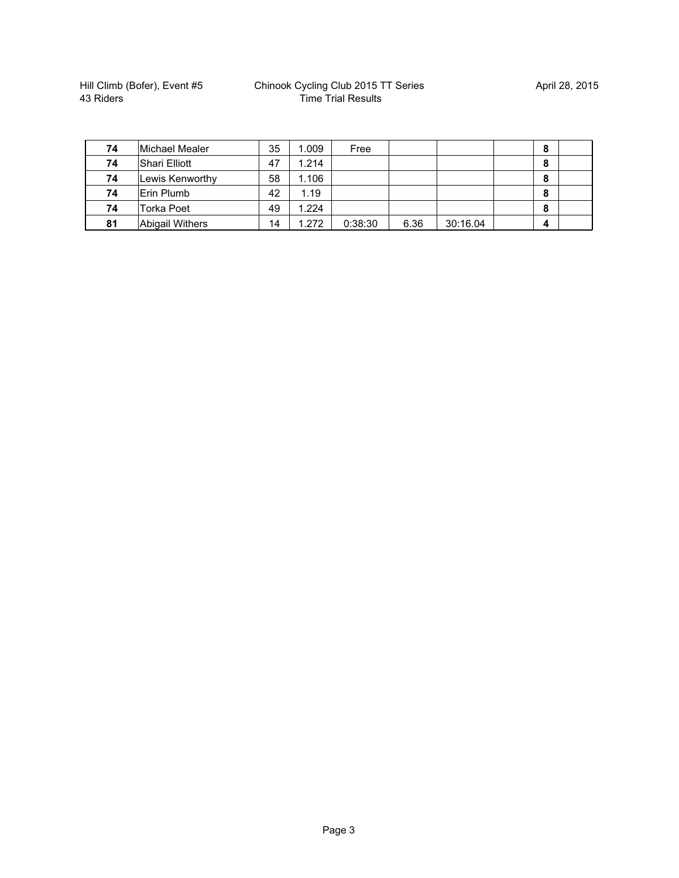| 74 | Michael Mealer         | 35 | 1.009 | Free    |      |          | 8 |  |
|----|------------------------|----|-------|---------|------|----------|---|--|
| 74 | <b>Shari Elliott</b>   | 47 | 1.214 |         |      |          | 8 |  |
| 74 | Lewis Kenworthy        | 58 | 1.106 |         |      |          | 8 |  |
| 74 | Erin Plumb             | 42 | 1.19  |         |      |          | 8 |  |
| 74 | Torka Poet             | 49 | 1.224 |         |      |          | 8 |  |
| 81 | <b>Abigail Withers</b> | 14 | 1.272 | 0:38:30 | 6.36 | 30:16.04 | 4 |  |

|                 | 47                                | 1.214 |         |       |          | 8 |   |
|-----------------|-----------------------------------|-------|---------|-------|----------|---|---|
| Lewis Kenworthy | 58                                | 1.106 |         |       |          | 8 |   |
| Erin Plumb      | 42                                | 1.19  |         |       |          | 8 |   |
| Torka Poet      | 49                                | 1.224 |         |       |          | 8 |   |
| Abigail Withers | 14                                | 1.272 | 0:38:30 | 6.36  | 30:16.04 | 4 |   |
|                 | iviichael Mealer<br>Shari Elliott | აა    | .uus    | LI AA |          |   | o |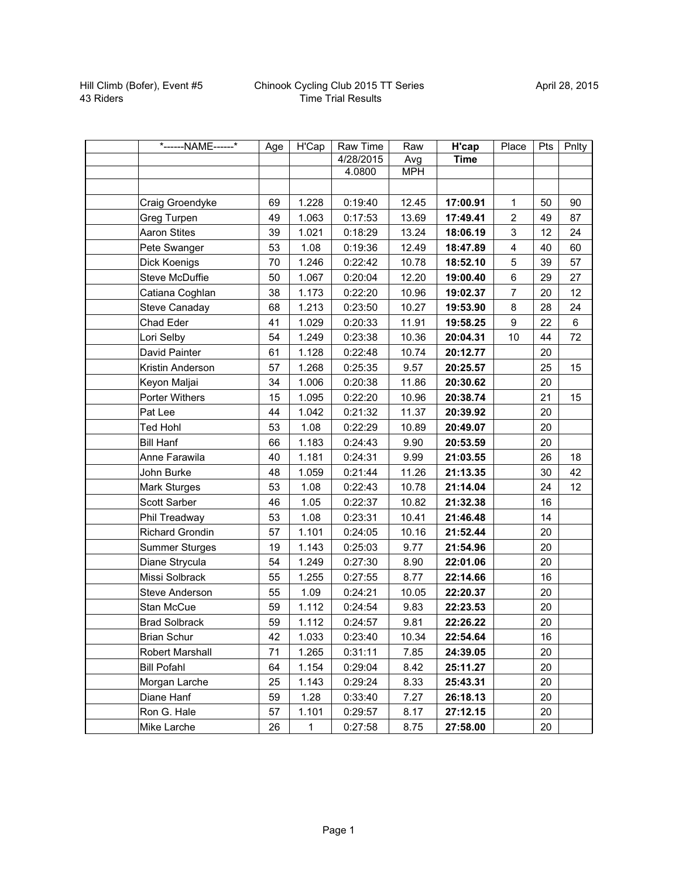| *------NAME------*     | Age | H'Cap        | Raw Time  | Raw        | H'cap       | Place                   | Pts | Pnlty |
|------------------------|-----|--------------|-----------|------------|-------------|-------------------------|-----|-------|
|                        |     |              | 4/28/2015 | Avg        | <b>Time</b> |                         |     |       |
|                        |     |              | 4.0800    | <b>MPH</b> |             |                         |     |       |
|                        |     |              |           |            |             |                         |     |       |
| Craig Groendyke        | 69  | 1.228        | 0:19:40   | 12.45      | 17:00.91    | 1                       | 50  | 90    |
| Greg Turpen            | 49  | 1.063        | 0:17:53   | 13.69      | 17:49.41    | $\overline{2}$          | 49  | 87    |
| <b>Aaron Stites</b>    | 39  | 1.021        | 0:18:29   | 13.24      | 18:06.19    | 3                       | 12  | 24    |
| Pete Swanger           | 53  | 1.08         | 0:19:36   | 12.49      | 18:47.89    | $\overline{\mathbf{4}}$ | 40  | 60    |
| Dick Koenigs           | 70  | 1.246        | 0:22:42   | 10.78      | 18:52.10    | 5                       | 39  | 57    |
| Steve McDuffie         | 50  | 1.067        | 0:20:04   | 12.20      | 19:00.40    | 6                       | 29  | 27    |
| Catiana Coghlan        | 38  | 1.173        | 0:22:20   | 10.96      | 19:02.37    | $\overline{7}$          | 20  | 12    |
| Steve Canaday          | 68  | 1.213        | 0:23:50   | 10.27      | 19:53.90    | 8                       | 28  | 24    |
| Chad Eder              | 41  | 1.029        | 0:20:33   | 11.91      | 19:58.25    | $\boldsymbol{9}$        | 22  | 6     |
| Lori Selby             | 54  | 1.249        | 0:23:38   | 10.36      | 20:04.31    | 10                      | 44  | 72    |
| David Painter          | 61  | 1.128        | 0:22:48   | 10.74      | 20:12.77    |                         | 20  |       |
| Kristin Anderson       | 57  | 1.268        | 0:25:35   | 9.57       | 20:25.57    |                         | 25  | 15    |
| Keyon Maljai           | 34  | 1.006        | 0:20:38   | 11.86      | 20:30.62    |                         | 20  |       |
| Porter Withers         | 15  | 1.095        | 0:22:20   | 10.96      | 20:38.74    |                         | 21  | 15    |
| Pat Lee                | 44  | 1.042        | 0:21:32   | 11.37      | 20:39.92    |                         | 20  |       |
| Ted Hohl               | 53  | 1.08         | 0:22:29   | 10.89      | 20:49.07    |                         | 20  |       |
| <b>Bill Hanf</b>       | 66  | 1.183        | 0:24:43   | 9.90       | 20:53.59    |                         | 20  |       |
| Anne Farawila          | 40  | 1.181        | 0:24:31   | 9.99       | 21:03.55    |                         | 26  | 18    |
| John Burke             | 48  | 1.059        | 0:21:44   | 11.26      | 21:13.35    |                         | 30  | 42    |
| Mark Sturges           | 53  | 1.08         | 0:22:43   | 10.78      | 21:14.04    |                         | 24  | 12    |
| Scott Sarber           | 46  | 1.05         | 0:22:37   | 10.82      | 21:32.38    |                         | 16  |       |
| Phil Treadway          | 53  | 1.08         | 0:23:31   | 10.41      | 21:46.48    |                         | 14  |       |
| <b>Richard Grondin</b> | 57  | 1.101        | 0:24:05   | 10.16      | 21:52.44    |                         | 20  |       |
| <b>Summer Sturges</b>  | 19  | 1.143        | 0:25:03   | 9.77       | 21:54.96    |                         | 20  |       |
| Diane Strycula         | 54  | 1.249        | 0:27:30   | 8.90       | 22:01.06    |                         | 20  |       |
| Missi Solbrack         | 55  | 1.255        | 0:27:55   | 8.77       | 22:14.66    |                         | 16  |       |
| Steve Anderson         | 55  | 1.09         | 0:24:21   | 10.05      | 22:20.37    |                         | 20  |       |
| Stan McCue             | 59  | 1.112        | 0:24:54   | 9.83       | 22:23.53    |                         | 20  |       |
| <b>Brad Solbrack</b>   | 59  | 1.112        | 0:24:57   | 9.81       | 22:26.22    |                         | 20  |       |
| <b>Brian Schur</b>     | 42  | 1.033        | 0:23:40   | 10.34      | 22:54.64    |                         | 16  |       |
| Robert Marshall        | 71  | 1.265        | 0:31:11   | 7.85       | 24:39.05    |                         | 20  |       |
| <b>Bill Pofahl</b>     | 64  | 1.154        | 0:29:04   | 8.42       | 25:11.27    |                         | 20  |       |
| Morgan Larche          | 25  | 1.143        | 0:29:24   | 8.33       | 25:43.31    |                         | 20  |       |
| Diane Hanf             | 59  | 1.28         | 0:33:40   | 7.27       | 26:18.13    |                         | 20  |       |
| Ron G. Hale            | 57  | 1.101        | 0:29:57   | 8.17       | 27:12.15    |                         | 20  |       |
| Mike Larche            | 26  | $\mathbf{1}$ | 0:27:58   | 8.75       | 27:58.00    |                         | 20  |       |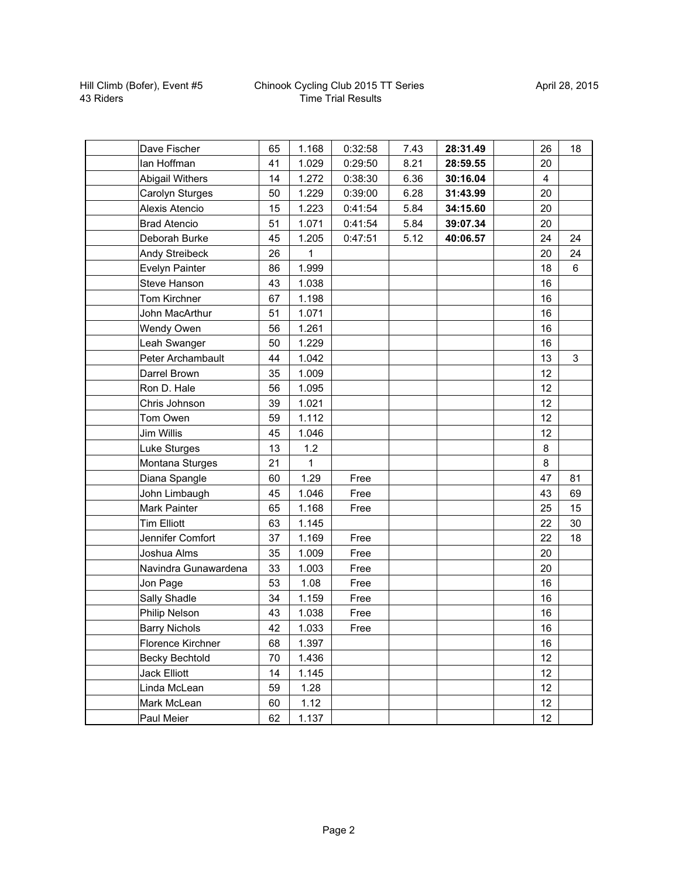| Dave Fischer           | 65 | 1.168 | 0:32:58 | 7.43 | 28:31.49 | 26             | 18 |
|------------------------|----|-------|---------|------|----------|----------------|----|
| lan Hoffman            | 41 | 1.029 | 0:29:50 | 8.21 | 28:59.55 | 20             |    |
| <b>Abigail Withers</b> | 14 | 1.272 | 0:38:30 | 6.36 | 30:16.04 | $\overline{4}$ |    |
| Carolyn Sturges        | 50 | 1.229 | 0:39:00 | 6.28 | 31:43.99 | 20             |    |
| Alexis Atencio         | 15 | 1.223 | 0:41:54 | 5.84 | 34:15.60 | 20             |    |
| <b>Brad Atencio</b>    | 51 | 1.071 | 0:41:54 | 5.84 | 39:07.34 | 20             |    |
| Deborah Burke          | 45 | 1.205 | 0:47:51 | 5.12 | 40:06.57 | 24             | 24 |
| <b>Andy Streibeck</b>  | 26 | 1     |         |      |          | 20             | 24 |
| Evelyn Painter         | 86 | 1.999 |         |      |          | 18             | 6  |
| <b>Steve Hanson</b>    | 43 | 1.038 |         |      |          | 16             |    |
| Tom Kirchner           | 67 | 1.198 |         |      |          | 16             |    |
| John MacArthur         | 51 | 1.071 |         |      |          | 16             |    |
| <b>Wendy Owen</b>      | 56 | 1.261 |         |      |          | 16             |    |
| Leah Swanger           | 50 | 1.229 |         |      |          | 16             |    |
| Peter Archambault      | 44 | 1.042 |         |      |          | 13             | 3  |
| Darrel Brown           | 35 | 1.009 |         |      |          | 12             |    |
| Ron D. Hale            | 56 | 1.095 |         |      |          | 12             |    |
| Chris Johnson          | 39 | 1.021 |         |      |          | 12             |    |
| Tom Owen               | 59 | 1.112 |         |      |          | 12             |    |
| Jim Willis             | 45 | 1.046 |         |      |          | 12             |    |
| Luke Sturges           | 13 | $1.2$ |         |      |          | 8              |    |
| Montana Sturges        | 21 | 1     |         |      |          | $\,8\,$        |    |
| Diana Spangle          | 60 | 1.29  | Free    |      |          | 47             | 81 |
| John Limbaugh          | 45 | 1.046 | Free    |      |          | 43             | 69 |
| Mark Painter           | 65 | 1.168 | Free    |      |          | 25             | 15 |
| <b>Tim Elliott</b>     | 63 | 1.145 |         |      |          | 22             | 30 |
| Jennifer Comfort       | 37 | 1.169 | Free    |      |          | 22             | 18 |
| Joshua Alms            | 35 | 1.009 | Free    |      |          | 20             |    |
| Navindra Gunawardena   | 33 | 1.003 | Free    |      |          | 20             |    |
| Jon Page               | 53 | 1.08  | Free    |      |          | 16             |    |
| Sally Shadle           | 34 | 1.159 | Free    |      |          | 16             |    |
| <b>Philip Nelson</b>   | 43 | 1.038 | Free    |      |          | 16             |    |
| <b>Barry Nichols</b>   | 42 | 1.033 | Free    |      |          | 16             |    |
| Florence Kirchner      | 68 | 1.397 |         |      |          | 16             |    |
| Becky Bechtold         | 70 | 1.436 |         |      |          | 12             |    |
| Jack Elliott           | 14 | 1.145 |         |      |          | 12             |    |
| Linda McLean           | 59 | 1.28  |         |      |          | 12             |    |
| Mark McLean            | 60 | 1.12  |         |      |          | 12             |    |
| Paul Meier             | 62 | 1.137 |         |      |          | 12             |    |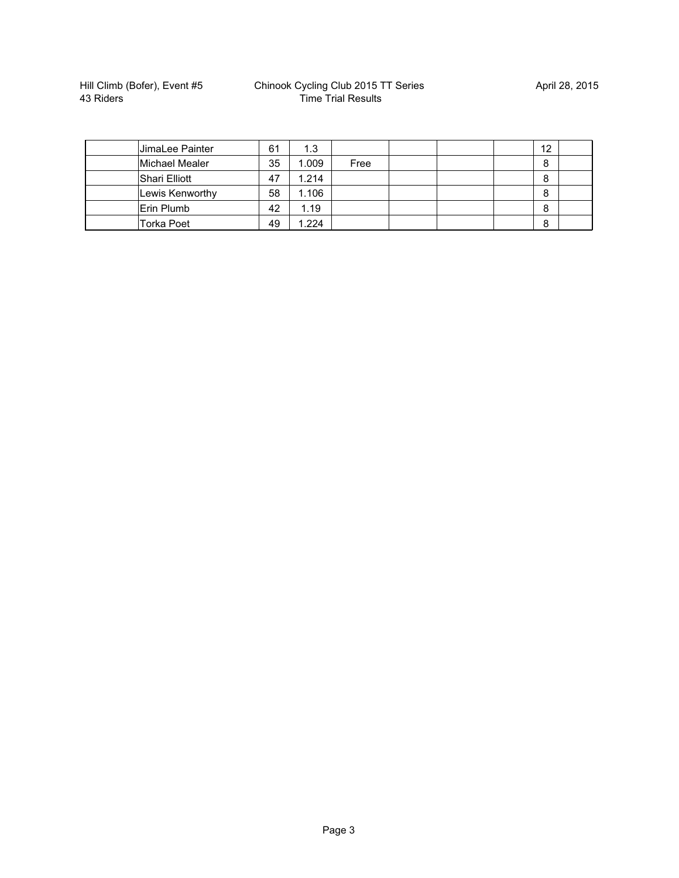| JimaLee Painter | 61 | 1.3   |      |  | 12 |  |
|-----------------|----|-------|------|--|----|--|
| Michael Mealer  | 35 | 1.009 | Free |  | 8  |  |
| Shari Elliott   | 47 | 1.214 |      |  | 8  |  |
| Lewis Kenworthy | 58 | 1.106 |      |  | 8  |  |
| Erin Plumb      | 42 | 1.19  |      |  | 8  |  |
| Torka Poet      | 49 | 1.224 |      |  | 8  |  |